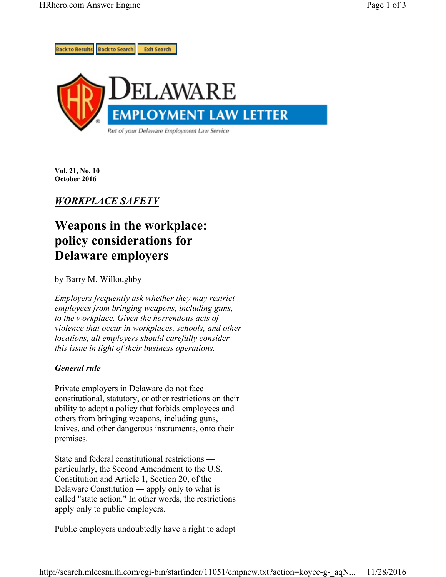

**Vol. 21, No. 10 October 2016** 

# *WORKPLACE SAFETY*

# **Weapons in the workplace: policy considerations for Delaware employers**

by Barry M. Willoughby

*Employers frequently ask whether they may restrict employees from bringing weapons, including guns, to the workplace. Given the horrendous acts of violence that occur in workplaces, schools, and other locations, all employers should carefully consider this issue in light of their business operations.*

## *General rule*

Private employers in Delaware do not face constitutional, statutory, or other restrictions on their ability to adopt a policy that forbids employees and others from bringing weapons, including guns, knives, and other dangerous instruments, onto their premises.

State and federal constitutional restrictions ― particularly, the Second Amendment to the U.S. Constitution and Article 1, Section 20, of the Delaware Constitution ― apply only to what is called "state action." In other words, the restrictions apply only to public employers.

Public employers undoubtedly have a right to adopt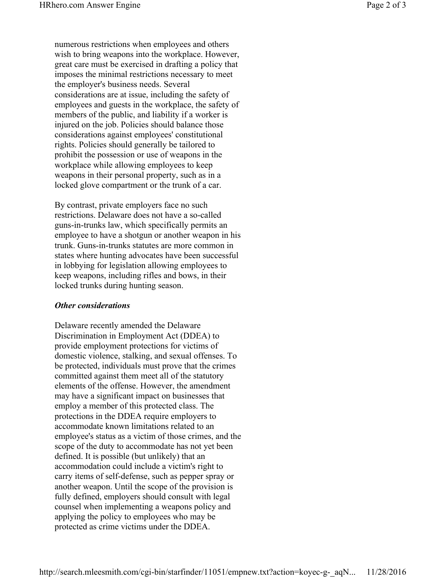numerous restrictions when employees and others wish to bring weapons into the workplace. However, great care must be exercised in drafting a policy that imposes the minimal restrictions necessary to meet the employer's business needs. Several considerations are at issue, including the safety of employees and guests in the workplace, the safety of members of the public, and liability if a worker is injured on the job. Policies should balance those considerations against employees' constitutional rights. Policies should generally be tailored to prohibit the possession or use of weapons in the workplace while allowing employees to keep weapons in their personal property, such as in a locked glove compartment or the trunk of a car.

By contrast, private employers face no such restrictions. Delaware does not have a so-called guns-in-trunks law, which specifically permits an employee to have a shotgun or another weapon in his trunk. Guns-in-trunks statutes are more common in states where hunting advocates have been successful in lobbying for legislation allowing employees to keep weapons, including rifles and bows, in their locked trunks during hunting season.

### *Other considerations*

Delaware recently amended the Delaware Discrimination in Employment Act (DDEA) to provide employment protections for victims of domestic violence, stalking, and sexual offenses. To be protected, individuals must prove that the crimes committed against them meet all of the statutory elements of the offense. However, the amendment may have a significant impact on businesses that employ a member of this protected class. The protections in the DDEA require employers to accommodate known limitations related to an employee's status as a victim of those crimes, and the scope of the duty to accommodate has not yet been defined. It is possible (but unlikely) that an accommodation could include a victim's right to carry items of self-defense, such as pepper spray or another weapon. Until the scope of the provision is fully defined, employers should consult with legal counsel when implementing a weapons policy and applying the policy to employees who may be protected as crime victims under the DDEA.